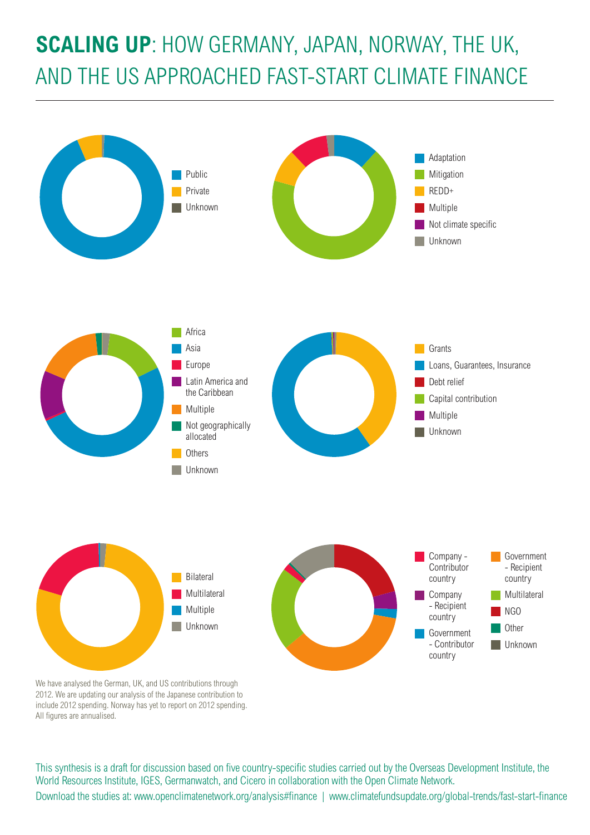# **SCALING UP**: HOW GERMANY, JAPAN, NORWAY, THE UK, AND THE US APPROACHED FAST-START CLIMATE FINANCE



We have analysed the German, UK, and US contributions through 2012. We are updating our analysis of the Japanese contribution to include 2012 spending. Norway has yet to report on 2012 spending. All figures are annualised.

This synthesis is a draft for discussion based on five country-specific studies carried out by the Overseas Development Institute, the World Resources Institute, IGES, Germanwatch, and Cicero in collaboration with the Open Climate Network. Download the studies at: www.openclimatenetwork.org/analysis#finance | www.climatefundsupdate.org/global-trends/fast-start-finance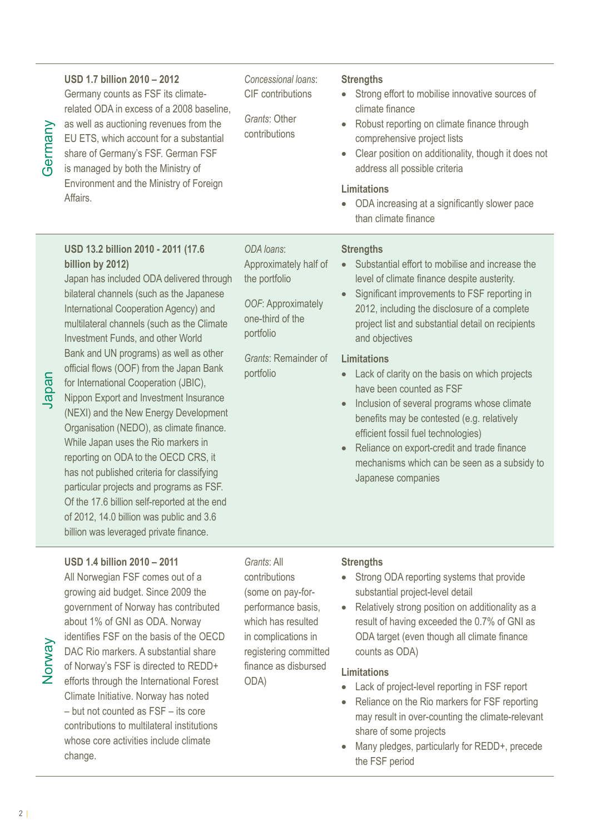Japan

## **USD 1.7 billion 2010 – 2012**

Germany counts as FSF its climaterelated ODA in excess of a 2008 baseline, as well as auctioning revenues from the EU ETS, which account for a substantial share of Germany's FSF. German FSF is managed by both the Ministry of Environment and the Ministry of Foreign Affairs.

*Concessional loans*: CIF contributions

*Grants*: Other contributions

#### **Strengths**

- Strong effort to mobilise innovative sources of climate finance
- Robust reporting on climate finance through comprehensive project lists
- Clear position on additionality, though it does not address all possible criteria

#### **Limitations**

• ODA increasing at a significantly slower pace than climate finance

## **USD 13.2 billion 2010 - 2011 (17.6 billion by 2012)**

Japan has included ODA delivered through bilateral channels (such as the Japanese International Cooperation Agency) and multilateral channels (such as the Climate Investment Funds, and other World Bank and UN programs) as well as other official flows (OOF) from the Japan Bank for International Cooperation (JBIC), Nippon Export and Investment Insurance (NEXI) and the New Energy Development Organisation (NEDO), as climate finance. While Japan uses the Rio markers in reporting on ODA to the OECD CRS, it has not published criteria for classifying particular projects and programs as FSF. Of the 17.6 billion self-reported at the end of 2012, 14.0 billion was public and 3.6 billion was leveraged private finance.

#### **USD 1.4 billion 2010 – 2011**

All Norwegian FSF comes out of a growing aid budget. Since 2009 the government of Norway has contributed about 1% of GNI as ODA. Norway identifies FSF on the basis of the OECD DAC Rio markers. A substantial share of Norway's FSF is directed to REDD+ efforts through the International Forest Climate Initiative. Norway has noted – but not counted as FSF – its core contributions to multilateral institutions whose core activities include climate change.

Approximately half of the portfolio

*ODA loans*:

*OOF*: Approximately one-third of the portfolio

*Grants*: Remainder of portfolio

#### **Strengths**

- Substantial effort to mobilise and increase the level of climate finance despite austerity.
- Significant improvements to FSF reporting in 2012, including the disclosure of a complete project list and substantial detail on recipients and objectives

#### **Limitations**

- Lack of clarity on the basis on which projects have been counted as FSF
- Inclusion of several programs whose climate benefits may be contested (e.g. relatively efficient fossil fuel technologies)
- Reliance on export-credit and trade finance mechanisms which can be seen as a subsidy to Japanese companies
- *Grants*: All contributions (some on pay-forperformance basis, which has resulted in complications in registering committed finance as disbursed ODA)

### **Strengths**

- Strong ODA reporting systems that provide substantial project-level detail
- Relatively strong position on additionality as a result of having exceeded the 0.7% of GNI as ODA target (even though all climate finance counts as ODA)

#### **Limitations**

- Lack of project-level reporting in FSF report
- Reliance on the Rio markers for FSF reporting may result in over-counting the climate-relevant share of some projects
- Many pledges, particularly for REDD+, precede the FSF period

Norway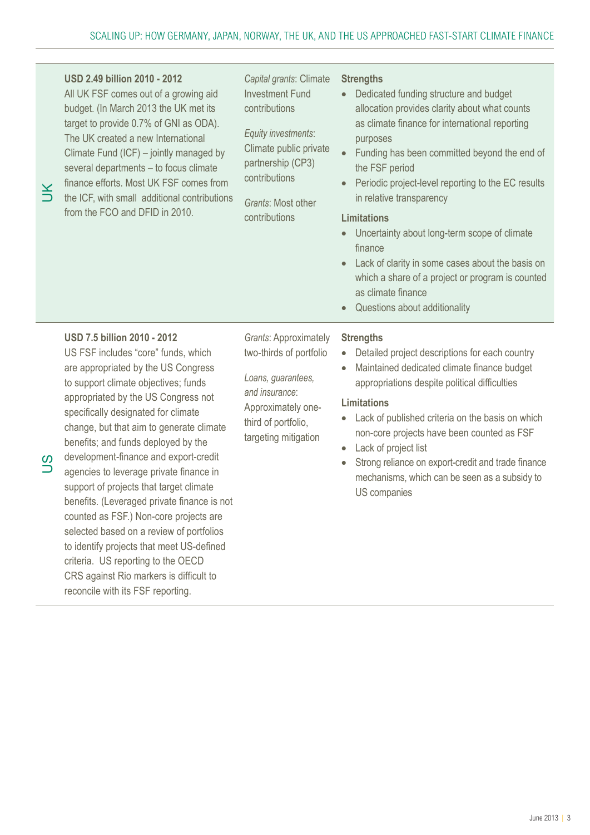| K      | <b>USD 2.49 billion 2010 - 2012</b><br>All UK FSF comes out of a growing aid<br>budget. (In March 2013 the UK met its<br>target to provide 0.7% of GNI as ODA).<br>The UK created a new International<br>Climate Fund (ICF) – jointly managed by<br>several departments - to focus climate<br>finance efforts. Most UK FSF comes from<br>the ICF, with small additional contributions<br>from the FCO and DFID in 2010.                                                                                                                                                                                                                                                                                                     | Capital grants: Climate<br><b>Investment Fund</b><br>contributions<br>Equity investments:<br>Climate public private<br>partnership (CP3)<br>contributions<br>Grants: Most other<br>contributions | <b>Strengths</b><br>Dedicated funding structure and budget<br>$\bullet$<br>allocation provides clarity about what counts<br>as climate finance for international reporting<br>purposes<br>Funding has been committed beyond the end of<br>$\bullet$<br>the FSF period<br>Periodic project-level reporting to the EC results<br>$\bullet$<br>in relative transparency<br><b>Limitations</b><br>Uncertainty about long-term scope of climate<br>finance<br>Lack of clarity in some cases about the basis on<br>which a share of a project or program is counted<br>as climate finance<br>Questions about additionality<br>$\bullet$ |
|--------|-----------------------------------------------------------------------------------------------------------------------------------------------------------------------------------------------------------------------------------------------------------------------------------------------------------------------------------------------------------------------------------------------------------------------------------------------------------------------------------------------------------------------------------------------------------------------------------------------------------------------------------------------------------------------------------------------------------------------------|--------------------------------------------------------------------------------------------------------------------------------------------------------------------------------------------------|-----------------------------------------------------------------------------------------------------------------------------------------------------------------------------------------------------------------------------------------------------------------------------------------------------------------------------------------------------------------------------------------------------------------------------------------------------------------------------------------------------------------------------------------------------------------------------------------------------------------------------------|
| S<br>ڌ | <b>USD 7.5 billion 2010 - 2012</b><br>US FSF includes "core" funds, which<br>are appropriated by the US Congress<br>to support climate objectives; funds<br>appropriated by the US Congress not<br>specifically designated for climate<br>change, but that aim to generate climate<br>benefits; and funds deployed by the<br>development-finance and export-credit<br>agencies to leverage private finance in<br>support of projects that target climate<br>benefits. (Leveraged private finance is not<br>counted as FSF.) Non-core projects are<br>selected based on a review of portfolios<br>to identify projects that meet US-defined<br>criteria. US reporting to the OECD<br>CRS against Rio markers is difficult to | <b>Grants: Approximately</b><br>two-thirds of portfolio<br>Loans, guarantees,<br>and insurance:<br>Approximately one-<br>third of portfolio,<br>targeting mitigation                             | <b>Strengths</b><br>Detailed project descriptions for each country<br>Maintained dedicated climate finance budget<br>$\bullet$<br>appropriations despite political difficulties<br><b>Limitations</b><br>Lack of published criteria on the basis on which<br>non-core projects have been counted as FSF<br>Lack of project list<br>$\bullet$<br>Strong reliance on export-credit and trade finance<br>$\bullet$<br>mechanisms, which can be seen as a subsidy to<br>US companies                                                                                                                                                  |

reconcile with its FSF reporting.